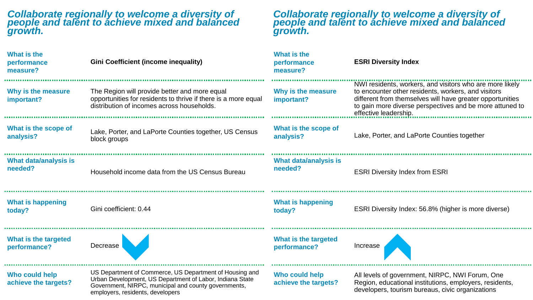### *Collaborate regionally to welcome a diversity of people and talent to achieve mixed and balanced growth.*

# *Collaborate regionally to welcome a diversity of people and talent to achieve mixed and balanced growth.*

| <b>What is the</b><br>performance<br>measure? | <b>Gini Coefficient (income inequality)</b>                                                                                                                                                                     | <b>What is the</b><br>performance<br>measure? | <b>ESRI Diversity Index</b>                                                                                                                                                                                                                                       |
|-----------------------------------------------|-----------------------------------------------------------------------------------------------------------------------------------------------------------------------------------------------------------------|-----------------------------------------------|-------------------------------------------------------------------------------------------------------------------------------------------------------------------------------------------------------------------------------------------------------------------|
| Why is the measure<br>important?              | The Region will provide better and more equal<br>opportunities for residents to thrive if there is a more equal<br>distribution of incomes across households.                                                   | Why is the measure<br>important?              | NWI residents, workers, and visitors who are more likely<br>to encounter other residents, workers, and visitors<br>different from themselves will have greater opportunities<br>to gain more diverse perspectives and be more attuned to<br>effective leadership. |
| What is the scope of<br>analysis?             | Lake, Porter, and LaPorte Counties together, US Census<br>block groups                                                                                                                                          | What is the scope of<br>analysis?             | Lake, Porter, and LaPorte Counties together                                                                                                                                                                                                                       |
| What data/analysis is<br>needed?              | Household income data from the US Census Bureau                                                                                                                                                                 | What data/analysis is<br>needed?              | <b>ESRI Diversity Index from ESRI</b>                                                                                                                                                                                                                             |
| <b>What is happening</b><br>today?            | Gini coefficient: 0.44                                                                                                                                                                                          | <b>What is happening</b><br>today?            | ESRI Diversity Index: 56.8% (higher is more diverse)                                                                                                                                                                                                              |
| What is the targeted<br>performance?          | Decrease                                                                                                                                                                                                        | What is the targeted<br>performance?          | Increase                                                                                                                                                                                                                                                          |
| Who could help<br>achieve the targets?        | US Department of Commerce, US Department of Housing and<br>Urban Development, US Department of Labor, Indiana State<br>Government, NIRPC, municipal and county governments,<br>employers, residents, developers | Who could help<br>achieve the targets?        | All levels of government, NIRPC, NWI Forum, One<br>Region, educational institutions, employers, residents,<br>developers, tourism bureaus, civic organizations                                                                                                    |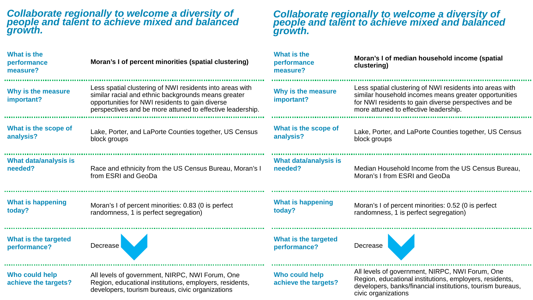## *Collaborate regionally to welcome a diversity of people and talent to achieve mixed and balanced growth.*

 $\sim 0.1$ 

 $\sim$ 

**ALC** 

**COL** 

# *Collaborate regionally to welcome a diversity of people and talent to achieve mixed and balanced growth.*

civic organizations

| <b>What is the</b><br>performance<br>measure? | Moran's I of percent minorities (spatial clustering)                                                                                                                                                                            | What is the<br>performance<br>measure? | Moran's I of median household income (spatial<br>clustering)                                                                                                                                                        |
|-----------------------------------------------|---------------------------------------------------------------------------------------------------------------------------------------------------------------------------------------------------------------------------------|----------------------------------------|---------------------------------------------------------------------------------------------------------------------------------------------------------------------------------------------------------------------|
| Why is the measure<br>important?              | Less spatial clustering of NWI residents into areas with<br>similar racial and ethnic backgrounds means greater<br>opportunities for NWI residents to gain diverse<br>perspectives and be more attuned to effective leadership. | Why is the measure<br>important?       | Less spatial clustering of NWI residents into areas with<br>similar household incomes means greater opportunities<br>for NWI residents to gain diverse perspectives and be<br>more attuned to effective leadership. |
| What is the scope of<br>analysis?             | Lake, Porter, and LaPorte Counties together, US Census<br>block groups                                                                                                                                                          | What is the scope of<br>analysis?      | Lake, Porter, and LaPorte Counties together, US Census<br>block groups                                                                                                                                              |
| What data/analysis is<br>needed?              | Race and ethnicity from the US Census Bureau, Moran's I<br>from ESRI and GeoDa                                                                                                                                                  | What data/analysis is<br>needed?       | Median Household Income from the US Census Bureau.<br>Moran's I from ESRI and GeoDa                                                                                                                                 |
| <b>What is happening</b><br>today?            | Moran's I of percent minorities: 0.83 (0 is perfect<br>randomness, 1 is perfect segregation)                                                                                                                                    | <b>What is happening</b><br>today?     | Moran's I of percent minorities: 0.52 (0 is perfect<br>randomness, 1 is perfect segregation)                                                                                                                        |
| What is the targeted<br>performance?          | Decrease                                                                                                                                                                                                                        | What is the targeted<br>performance?   | Decrease                                                                                                                                                                                                            |
| Who could help<br>achieve the targets?        | All levels of government, NIRPC, NWI Forum, One<br>Region, educational institutions, employers, residents,<br>developers, tourism bureaus, civic organizations                                                                  | Who could help<br>achieve the targets? | All levels of government, NIRPC, NWI Forum, One<br>Region, educational institutions, employers, residents,<br>developers, banks/financial institutions, tourism bureaus,                                            |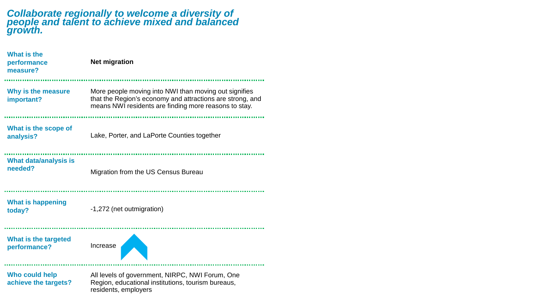## *Collaborate regionally to welcome a diversity of people and talent to achieve mixed and balanced growth.*

| <b>What is the</b><br>performance<br>measure? | <b>Net migration</b>                                                                                                                                                        |
|-----------------------------------------------|-----------------------------------------------------------------------------------------------------------------------------------------------------------------------------|
| Why is the measure<br>important?              | More people moving into NWI than moving out signifies<br>that the Region's economy and attractions are strong, and<br>means NWI residents are finding more reasons to stay. |
| What is the scope of<br>analysis?             | Lake, Porter, and LaPorte Counties together                                                                                                                                 |
| <b>What data/analysis is</b><br>needed?       | Migration from the US Census Bureau                                                                                                                                         |
| <b>What is happening</b><br>today?            | -1,272 (net outmigration)                                                                                                                                                   |
| What is the targeted<br>performance?          | Increase                                                                                                                                                                    |
| <b>Who could help</b><br>achieve the targets? | All levels of government, NIRPC, NWI Forum, One<br>Region, educational institutions, tourism bureaus,<br>residents, employers                                               |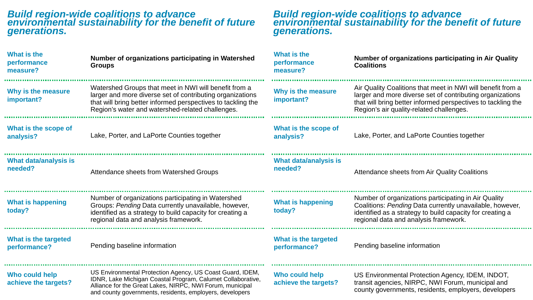### *Build region-wide coalitions to advance environmental sustainability for the benefit of future generations.*

## *Build region-wide coalitions to advance environmental sustainability for the benefit of future generations.*

| <b>What is the</b><br>performance<br>measure? | Number of organizations participating in Watershed<br><b>Groups</b>                                                                                                                                                                               | What is the<br>performance<br>measure? | Number of organizations participating in Air Quality<br><b>Coalitions</b>                                                                                                                                                            |
|-----------------------------------------------|---------------------------------------------------------------------------------------------------------------------------------------------------------------------------------------------------------------------------------------------------|----------------------------------------|--------------------------------------------------------------------------------------------------------------------------------------------------------------------------------------------------------------------------------------|
| Why is the measure<br>important?              | Watershed Groups that meet in NWI will benefit from a<br>larger and more diverse set of contributing organizations<br>that will bring better informed perspectives to tackling the<br>Region's water and watershed-related challenges.            | Why is the measure<br>important?       | Air Quality Coalitions that meet in NWI will benefit from a<br>larger and more diverse set of contributing organizations<br>that will bring better informed perspectives to tackling the<br>Region's air quality-related challenges. |
| What is the scope of<br>analysis?             | Lake, Porter, and LaPorte Counties together                                                                                                                                                                                                       | What is the scope of<br>analysis?      | Lake, Porter, and LaPorte Counties together                                                                                                                                                                                          |
| What data/analysis is<br>needed?              | Attendance sheets from Watershed Groups                                                                                                                                                                                                           | What data/analysis is<br>needed?       | Attendance sheets from Air Quality Coalitions                                                                                                                                                                                        |
| <b>What is happening</b><br>today?            | Number of organizations participating in Watershed<br>Groups: Pending Data currently unavailable, however,<br>identified as a strategy to build capacity for creating a<br>regional data and analysis framework.                                  | <b>What is happening</b><br>today?     | Number of organizations participating in Air Quality<br>Coalitions: Pending Data currently unavailable, however,<br>identified as a strategy to build capacity for creating a<br>regional data and analysis framework.               |
| What is the targeted<br>performance?          | Pending baseline information                                                                                                                                                                                                                      | What is the targeted<br>performance?   | Pending baseline information                                                                                                                                                                                                         |
| Who could help<br>achieve the targets?        | US Environmental Protection Agency, US Coast Guard, IDEM,<br>IDNR, Lake Michigan Coastal Program, Calumet Collaborative,<br>Alliance for the Great Lakes, NIRPC, NWI Forum, municipal<br>and county governments, residents, employers, developers | Who could help<br>achieve the targets? | US Environmental Protection Agency, IDEM, INDOT,<br>transit agencies, NIRPC, NWI Forum, municipal and<br>county governments, residents, employers, developers                                                                        |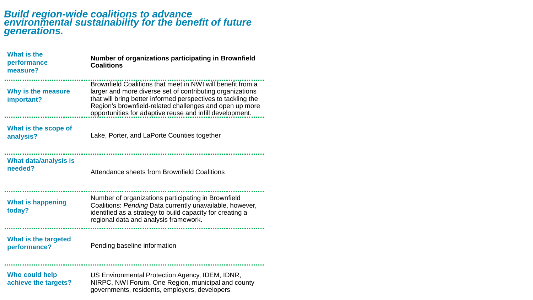### *Build region-wide coalitions to advance environmental sustainability for the benefit of future generations.*

| <b>What is the</b><br>performance<br>measure? | Number of organizations participating in Brownfield<br><b>Coalitions</b>                                                                                                                                                                                                                                       |
|-----------------------------------------------|----------------------------------------------------------------------------------------------------------------------------------------------------------------------------------------------------------------------------------------------------------------------------------------------------------------|
| Why is the measure<br>important?              | Brownfield Coalitions that meet in NWI will benefit from a<br>larger and more diverse set of contributing organizations<br>that will bring better informed perspectives to tackling the<br>Region's brownfield-related challenges and open up more<br>opportunities for adaptive reuse and infill development. |
| What is the scope of<br>analysis?             | Lake, Porter, and LaPorte Counties together                                                                                                                                                                                                                                                                    |
| <b>What data/analysis is</b><br>needed?       | Attendance sheets from Brownfield Coalitions                                                                                                                                                                                                                                                                   |
| <b>What is happening</b><br>today?            | Number of organizations participating in Brownfield<br>Coalitions: Pending Data currently unavailable, however,<br>identified as a strategy to build capacity for creating a<br>regional data and analysis framework.                                                                                          |
| What is the targeted<br>performance?          | Pending baseline information                                                                                                                                                                                                                                                                                   |
| Who could help<br>achieve the targets?        | US Environmental Protection Agency, IDEM, IDNR,<br>NIRPC, NWI Forum, One Region, municipal and county                                                                                                                                                                                                          |
|                                               | governments, residents, employers, developers                                                                                                                                                                                                                                                                  |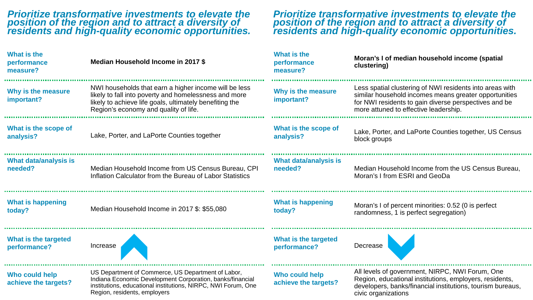### *Prioritize transformative investments to elevate the position of the region and to attract a diversity of residents and high-quality economic opportunities.*

**ALC** 

### *Prioritize transformative investments to elevate the position of the region and to attract a diversity of residents and high-quality economic opportunities.*

| <b>What is the</b><br>performance<br>measure? | Median Household Income in 2017 \$                                                                                                                                                                                 | What is the<br>performance<br>measure?  | Moran's I of median household income (spatial<br>clustering)                                                                                                                                                        |
|-----------------------------------------------|--------------------------------------------------------------------------------------------------------------------------------------------------------------------------------------------------------------------|-----------------------------------------|---------------------------------------------------------------------------------------------------------------------------------------------------------------------------------------------------------------------|
| Why is the measure<br>important?              | NWI households that earn a higher income will be less<br>likely to fall into poverty and homelessness and more<br>likely to achieve life goals, ultimately benefiting the<br>Region's economy and quality of life. | Why is the measure<br>important?        | Less spatial clustering of NWI residents into areas with<br>similar household incomes means greater opportunities<br>for NWI residents to gain diverse perspectives and be<br>more attuned to effective leadership. |
| What is the scope of<br>analysis?             | Lake, Porter, and LaPorte Counties together                                                                                                                                                                        | What is the scope of<br>analysis?       | Lake, Porter, and LaPorte Counties together, US Census<br>block groups                                                                                                                                              |
| <b>What data/analysis is</b><br>needed?       | Median Household Income from US Census Bureau, CPI<br>Inflation Calculator from the Bureau of Labor Statistics                                                                                                     | <b>What data/analysis is</b><br>needed? | Median Household Income from the US Census Bureau,<br>Moran's I from ESRI and GeoDa                                                                                                                                 |
| <b>What is happening</b><br>today?            | Median Household Income in 2017 \$: \$55,080                                                                                                                                                                       | <b>What is happening</b><br>today?      | Moran's I of percent minorities: 0.52 (0 is perfect<br>randomness, 1 is perfect segregation)                                                                                                                        |
| What is the targeted<br>performance?          | Increase                                                                                                                                                                                                           | What is the targeted<br>performance?    | Decrease                                                                                                                                                                                                            |
| Who could help<br>achieve the targets?        | US Department of Commerce, US Department of Labor,<br>Indiana Economic Development Corporation, banks/financial<br>institutions advestional institutions NIDDC NIMI Forum One                                      | Who could help<br>achieve the targets?  | All levels of government, NIRPC, NWI Forum, One<br>Region, educational institutions, employers, residents,<br>dovelopera, banka (financial institutional tourism burgaus                                            |

institutions, educational institutions, NIRPC, NWI Forum, One Region, residents, employers

**achieve the targets?**

developers, banks/financial institutions, tourism bureaus, civic organizations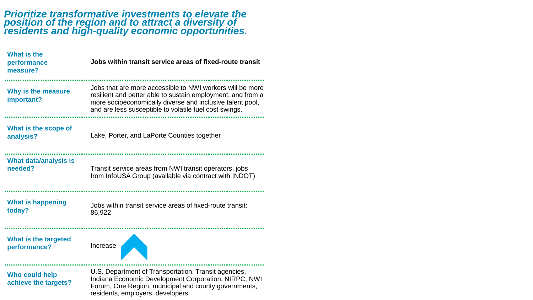### *Prioritize transformative investments to elevate the position of the region and to attract a diversity of residents and high-quality economic opportunities.*

| <b>What is the</b><br>performance<br>measure? | Jobs within transit service areas of fixed-route transit                                                                                                                                                                                        |
|-----------------------------------------------|-------------------------------------------------------------------------------------------------------------------------------------------------------------------------------------------------------------------------------------------------|
| Why is the measure<br>important?              | Jobs that are more accessible to NWI workers will be more<br>resilient and better able to sustain employment, and from a<br>more socioeconomically diverse and inclusive talent pool,<br>and are less susceptible to volatile fuel cost swings. |
| What is the scope of<br>analysis?             | Lake, Porter, and LaPorte Counties together                                                                                                                                                                                                     |
| <b>What data/analysis is</b><br>needed?       | Transit service areas from NWI transit operators, jobs<br>from InfoUSA Group (available via contract with INDOT)                                                                                                                                |
| <b>What is happening</b><br>today?            | Jobs within transit service areas of fixed-route transit:<br>86,922                                                                                                                                                                             |
| What is the targeted<br>performance?          | Increase                                                                                                                                                                                                                                        |
| <b>Who could help</b><br>achieve the targets? | U.S. Department of Transportation, Transit agencies,<br>Indiana Economic Development Corporation, NIRPC, NWI<br>Forum, One Region, municipal and county governments,<br>residents, employers, developers                                        |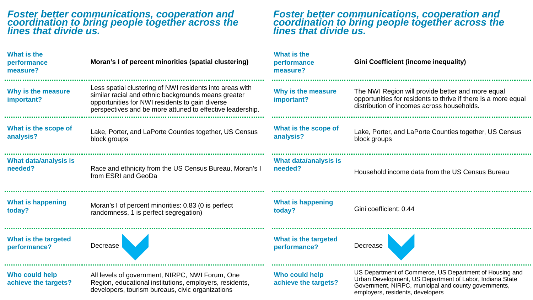### *Foster better communications, cooperation and coordination to bring people together across the lines that divide us.*

10,000

 $\sim 0.00$ 

 $\sim 0.1$ 

**STATE** 

**ALC N** 

 $\sim 0.0$ 

### *Foster better communications, cooperation and coordination to bring people together across the lines that divide us.*

| <b>What is the</b><br>performance<br>measure? | Moran's I of percent minorities (spatial clustering)                                                                                                                                                                            | What is the<br>performance<br>measure? | <b>Gini Coefficient (income inequality)</b>                                                                                                                                                                     |
|-----------------------------------------------|---------------------------------------------------------------------------------------------------------------------------------------------------------------------------------------------------------------------------------|----------------------------------------|-----------------------------------------------------------------------------------------------------------------------------------------------------------------------------------------------------------------|
| Why is the measure<br>important?              | Less spatial clustering of NWI residents into areas with<br>similar racial and ethnic backgrounds means greater<br>opportunities for NWI residents to gain diverse<br>perspectives and be more attuned to effective leadership. | Why is the measure<br>important?       | The NWI Region will provide better and more equal<br>opportunities for residents to thrive if there is a more equal<br>distribution of incomes across households.                                               |
| What is the scope of<br>analysis?             | Lake, Porter, and LaPorte Counties together, US Census<br>block groups                                                                                                                                                          | What is the scope of<br>analysis?      | Lake, Porter, and LaPorte Counties together, US Census<br>block groups                                                                                                                                          |
| What data/analysis is<br>needed?              | Race and ethnicity from the US Census Bureau, Moran's I<br>from ESRI and GeoDa                                                                                                                                                  | What data/analysis is<br>needed?       | Household income data from the US Census Bureau                                                                                                                                                                 |
| <b>What is happening</b><br>today?            | Moran's I of percent minorities: 0.83 (0 is perfect<br>randomness, 1 is perfect segregation)                                                                                                                                    | <b>What is happening</b><br>today?     | Gini coefficient: 0.44                                                                                                                                                                                          |
| What is the targeted<br>performance?          | Decrease                                                                                                                                                                                                                        | What is the targeted<br>performance?   | Decrease                                                                                                                                                                                                        |
| Who could help<br>achieve the targets?        | All levels of government, NIRPC, NWI Forum, One<br>Region, educational institutions, employers, residents,<br>developers, tourism bureaus, civic organizations                                                                  | Who could help<br>achieve the targets? | US Department of Commerce, US Department of Housing and<br>Urban Development, US Department of Labor, Indiana State<br>Government, NIRPC, municipal and county governments,<br>employers, residents, developers |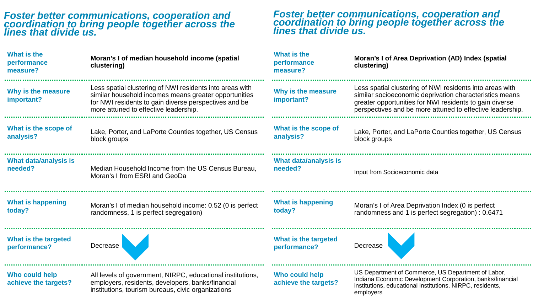### *Foster better communications, cooperation and coordination to bring people together across the lines that divide us.*

| What is the<br>performance<br>measure? | Moran's I of median household income (spatial<br>clustering)                                                                                                                                                        | What is the<br>performance<br>measure? | Moran's I of Area Deprivation (AD) Index (spatial<br>clustering)                                                                                                                                                                            |
|----------------------------------------|---------------------------------------------------------------------------------------------------------------------------------------------------------------------------------------------------------------------|----------------------------------------|---------------------------------------------------------------------------------------------------------------------------------------------------------------------------------------------------------------------------------------------|
| Why is the measure<br>important?       | Less spatial clustering of NWI residents into areas with<br>similar household incomes means greater opportunities<br>for NWI residents to gain diverse perspectives and be<br>more attuned to effective leadership. | Why is the measure<br>important?       | Less spatial clustering of NWI residents into areas with<br>similar socioeconomic deprivation characteristics means<br>greater opportunities for NWI residents to gain diverse<br>perspectives and be more attuned to effective leadership. |
| What is the scope of<br>analysis?      | Lake, Porter, and LaPorte Counties together, US Census<br>block groups                                                                                                                                              | What is the scope of<br>analysis?      | Lake, Porter, and LaPorte Counties together, US Census<br>block groups                                                                                                                                                                      |
| What data/analysis is<br>needed?       | Median Household Income from the US Census Bureau,<br>Moran's I from ESRI and GeoDa                                                                                                                                 | What data/analysis is<br>needed?       | Input from Socioeconomic data                                                                                                                                                                                                               |
| <b>What is happening</b><br>today?     | Moran's I of median household income: 0.52 (0 is perfect<br>randomness, 1 is perfect segregation)                                                                                                                   | <b>What is happening</b><br>today?     | Moran's I of Area Deprivation Index (0 is perfect<br>randomness and 1 is perfect segregation) : 0.6471                                                                                                                                      |
| What is the targeted<br>performance?   | Decrease                                                                                                                                                                                                            | What is the targeted<br>performance?   | Decrease                                                                                                                                                                                                                                    |
| Who could help<br>achieve the targets? | All levels of government, NIRPC, educational institutions,<br>employers, residents, developers, banks/financial<br>institutions, tourism bureaus, civic organizations                                               | Who could help<br>achieve the targets? | US Department of Commerce, US Department of Labor,<br>Indiana Economic Development Corporation, banks/financial<br>institutions, educational institutions, NIRPC, residents,<br>employers                                                   |

*Foster better communications, cooperation and coordination to bring people together across the* 

*lines that divide us.*